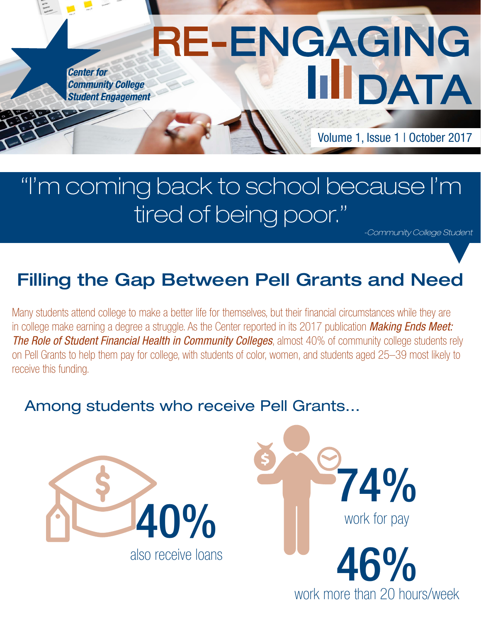**Center for Community College Student Engagement** 

Volume 1, Issue 1 | October 2017

DATA

## "I'm coming back to school because I'm tired of being poor."

RE-ENGAGING

*-Community College Student*

## Filling the Gap Between Pell Grants and Need

Many students attend college to make a better life for themselves, but their financial circumstances while they are in college make earning a degree a struggle. As the Center reported in its 2017 publication *[Making Ends Meet:](http://www.ccsse.org/SR2017/)  [The Role of Student Financial Health in Community Colleges](http://www.ccsse.org/SR2017/)*, almost 40% of community college students rely on Pell Grants to help them pay for college, with students of color, women, and students aged 25–39 most likely to receive this funding.

## Among students who receive Pell Grants...